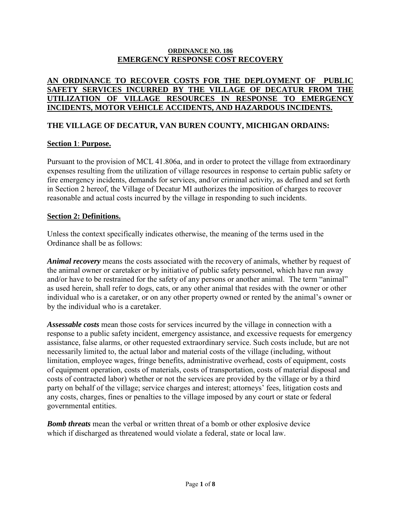#### **ORDINANCE NO. 186 EMERGENCY RESPONSE COST RECOVERY**

#### **AN ORDINANCE TO RECOVER COSTS FOR THE DEPLOYMENT OF PUBLIC SAFETY SERVICES INCURRED BY THE VILLAGE OF DECATUR FROM THE UTILIZATION OF VILLAGE RESOURCES IN RESPONSE TO EMERGENCY INCIDENTS, MOTOR VEHICLE ACCIDENTS, AND HAZARDOUS INCIDENTS.**

## **THE VILLAGE OF DECATUR, VAN BUREN COUNTY, MICHIGAN ORDAINS:**

#### **Section 1**: **Purpose.**

Pursuant to the provision of MCL 41.806a, and in order to protect the village from extraordinary expenses resulting from the utilization of village resources in response to certain public safety or fire emergency incidents, demands for services, and/or criminal activity, as defined and set forth in Section 2 hereof, the Village of Decatur MI authorizes the imposition of charges to recover reasonable and actual costs incurred by the village in responding to such incidents.

### **Section 2: Definitions.**

Unless the context specifically indicates otherwise, the meaning of the terms used in the Ordinance shall be as follows:

*Animal recovery* means the costs associated with the recovery of animals, whether by request of the animal owner or caretaker or by initiative of public safety personnel, which have run away and/or have to be restrained for the safety of any persons or another animal. The term "animal" as used herein, shall refer to dogs, cats, or any other animal that resides with the owner or other individual who is a caretaker, or on any other property owned or rented by the animal's owner or by the individual who is a caretaker.

*Assessable costs* mean those costs for services incurred by the village in connection with a response to a public safety incident, emergency assistance, and excessive requests for emergency assistance, false alarms, or other requested extraordinary service. Such costs include, but are not necessarily limited to, the actual labor and material costs of the village (including, without limitation, employee wages, fringe benefits, administrative overhead, costs of equipment, costs of equipment operation, costs of materials, costs of transportation, costs of material disposal and costs of contracted labor) whether or not the services are provided by the village or by a third party on behalf of the village; service charges and interest; attorneys' fees, litigation costs and any costs, charges, fines or penalties to the village imposed by any court or state or federal governmental entities.

*Bomb threats* mean the verbal or written threat of a bomb or other explosive device which if discharged as threatened would violate a federal, state or local law.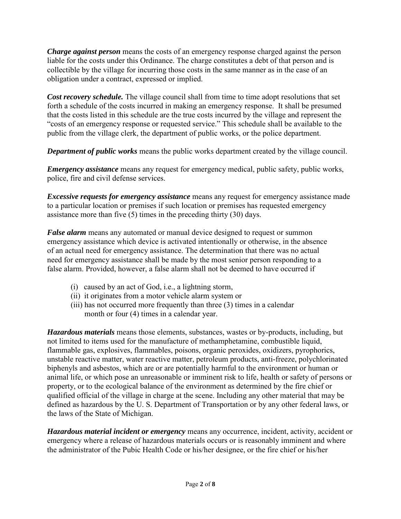*Charge against person* means the costs of an emergency response charged against the person liable for the costs under this Ordinance. The charge constitutes a debt of that person and is collectible by the village for incurring those costs in the same manner as in the case of an obligation under a contract, expressed or implied.

*Cost recovery schedule.* The village council shall from time to time adopt resolutions that set forth a schedule of the costs incurred in making an emergency response. It shall be presumed that the costs listed in this schedule are the true costs incurred by the village and represent the "costs of an emergency response or requested service." This schedule shall be available to the public from the village clerk, the department of public works, or the police department.

*Department of public works* means the public works department created by the village council.

*Emergency assistance* means any request for emergency medical, public safety, public works, police, fire and civil defense services.

*Excessive requests for emergency assistance* means any request for emergency assistance made to a particular location or premises if such location or premises has requested emergency assistance more than five (5) times in the preceding thirty (30) days.

*False alarm* means any automated or manual device designed to request or summon emergency assistance which device is activated intentionally or otherwise, in the absence of an actual need for emergency assistance. The determination that there was no actual need for emergency assistance shall be made by the most senior person responding to a false alarm. Provided, however, a false alarm shall not be deemed to have occurred if

- (i) caused by an act of God, i.e., a lightning storm,
- (ii) it originates from a motor vehicle alarm system or
- (iii) has not occurred more frequently than three (3) times in a calendar month or four (4) times in a calendar year.

*Hazardous materials* means those elements, substances, wastes or by-products, including, but not limited to items used for the manufacture of methamphetamine, combustible liquid, flammable gas, explosives, flammables, poisons, organic peroxides, oxidizers, pyrophorics, unstable reactive matter, water reactive matter, petroleum products, anti-freeze, polychlorinated biphenyls and asbestos, which are or are potentially harmful to the environment or human or animal life, or which pose an unreasonable or imminent risk to life, health or safety of persons or property, or to the ecological balance of the environment as determined by the fire chief or qualified official of the village in charge at the scene. Including any other material that may be defined as hazardous by the U. S. Department of Transportation or by any other federal laws, or the laws of the State of Michigan.

*Hazardous material incident or emergency* means any occurrence, incident, activity, accident or emergency where a release of hazardous materials occurs or is reasonably imminent and where the administrator of the Pubic Health Code or his/her designee, or the fire chief or his/her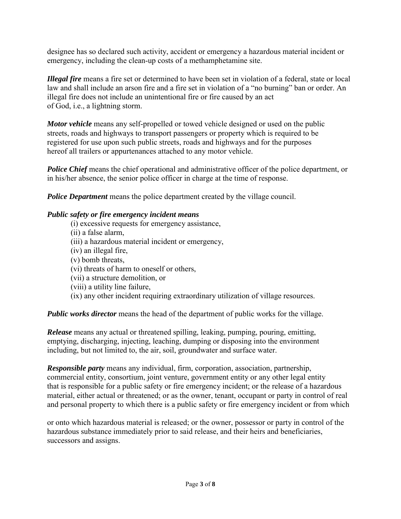designee has so declared such activity, accident or emergency a hazardous material incident or emergency, including the clean-up costs of a methamphetamine site.

*Illegal fire* means a fire set or determined to have been set in violation of a federal, state or local law and shall include an arson fire and a fire set in violation of a "no burning" ban or order. An illegal fire does not include an unintentional fire or fire caused by an act of God, i.e., a lightning storm.

*Motor vehicle* means any self-propelled or towed vehicle designed or used on the public streets, roads and highways to transport passengers or property which is required to be registered for use upon such public streets, roads and highways and for the purposes hereof all trailers or appurtenances attached to any motor vehicle.

*Police Chief* means the chief operational and administrative officer of the police department, or in his/her absence, the senior police officer in charge at the time of response.

*Police Department* means the police department created by the village council.

#### *Public safety or fire emergency incident means*

- (i) excessive requests for emergency assistance,
- (ii) a false alarm,
- (iii) a hazardous material incident or emergency,
- (iv) an illegal fire,
- (v) bomb threats,
- (vi) threats of harm to oneself or others,
- (vii) a structure demolition, or
- (viii) a utility line failure,
- (ix) any other incident requiring extraordinary utilization of village resources.

*Public works director* means the head of the department of public works for the village.

*Release* means any actual or threatened spilling, leaking, pumping, pouring, emitting, emptying, discharging, injecting, leaching, dumping or disposing into the environment including, but not limited to, the air, soil, groundwater and surface water.

*Responsible party* means any individual, firm, corporation, association, partnership, commercial entity, consortium, joint venture, government entity or any other legal entity that is responsible for a public safety or fire emergency incident; or the release of a hazardous material, either actual or threatened; or as the owner, tenant, occupant or party in control of real and personal property to which there is a public safety or fire emergency incident or from which

or onto which hazardous material is released; or the owner, possessor or party in control of the hazardous substance immediately prior to said release, and their heirs and beneficiaries, successors and assigns.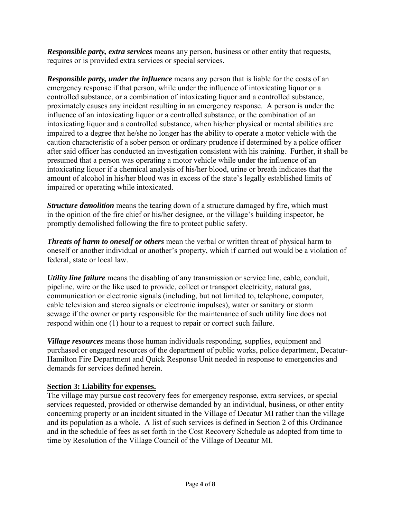*Responsible party, extra services* means any person, business or other entity that requests, requires or is provided extra services or special services.

*Responsible party, under the influence* means any person that is liable for the costs of an emergency response if that person, while under the influence of intoxicating liquor or a controlled substance, or a combination of intoxicating liquor and a controlled substance, proximately causes any incident resulting in an emergency response. A person is under the influence of an intoxicating liquor or a controlled substance, or the combination of an intoxicating liquor and a controlled substance, when his/her physical or mental abilities are impaired to a degree that he/she no longer has the ability to operate a motor vehicle with the caution characteristic of a sober person or ordinary prudence if determined by a police officer after said officer has conducted an investigation consistent with his training. Further, it shall be presumed that a person was operating a motor vehicle while under the influence of an intoxicating liquor if a chemical analysis of his/her blood, urine or breath indicates that the amount of alcohol in his/her blood was in excess of the state's legally established limits of impaired or operating while intoxicated.

*Structure demolition* means the tearing down of a structure damaged by fire, which must in the opinion of the fire chief or his/her designee, or the village's building inspector, be promptly demolished following the fire to protect public safety.

*Threats of harm to oneself or others* mean the verbal or written threat of physical harm to oneself or another individual or another's property, which if carried out would be a violation of federal, state or local law.

*Utility line failure* means the disabling of any transmission or service line, cable, conduit, pipeline, wire or the like used to provide, collect or transport electricity, natural gas, communication or electronic signals (including, but not limited to, telephone, computer, cable television and stereo signals or electronic impulses), water or sanitary or storm sewage if the owner or party responsible for the maintenance of such utility line does not respond within one (1) hour to a request to repair or correct such failure.

*Village resources* means those human individuals responding, supplies, equipment and purchased or engaged resources of the department of public works, police department, Decatur-Hamilton Fire Department and Quick Response Unit needed in response to emergencies and demands for services defined herein.

### **Section 3: Liability for expenses.**

The village may pursue cost recovery fees for emergency response, extra services, or special services requested, provided or otherwise demanded by an individual, business, or other entity concerning property or an incident situated in the Village of Decatur MI rather than the village and its population as a whole. A list of such services is defined in Section 2 of this Ordinance and in the schedule of fees as set forth in the Cost Recovery Schedule as adopted from time to time by Resolution of the Village Council of the Village of Decatur MI.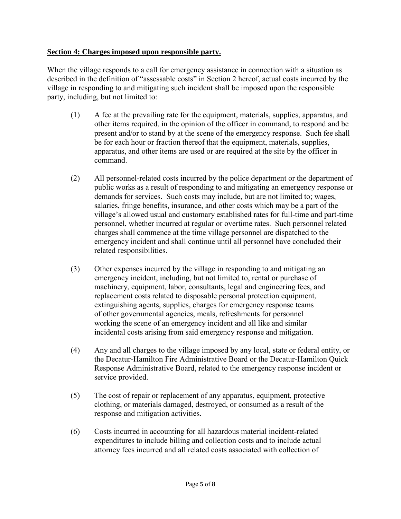#### **Section 4: Charges imposed upon responsible party.**

When the village responds to a call for emergency assistance in connection with a situation as described in the definition of "assessable costs" in Section 2 hereof, actual costs incurred by the village in responding to and mitigating such incident shall be imposed upon the responsible party, including, but not limited to:

- (1) A fee at the prevailing rate for the equipment, materials, supplies, apparatus, and other items required, in the opinion of the officer in command, to respond and be present and/or to stand by at the scene of the emergency response. Such fee shall be for each hour or fraction thereof that the equipment, materials, supplies, apparatus, and other items are used or are required at the site by the officer in command.
- (2) All personnel-related costs incurred by the police department or the department of public works as a result of responding to and mitigating an emergency response or demands for services. Such costs may include, but are not limited to; wages, salaries, fringe benefits, insurance, and other costs which may be a part of the village's allowed usual and customary established rates for full-time and part-time personnel, whether incurred at regular or overtime rates. Such personnel related charges shall commence at the time village personnel are dispatched to the emergency incident and shall continue until all personnel have concluded their related responsibilities.
- (3) Other expenses incurred by the village in responding to and mitigating an emergency incident, including, but not limited to, rental or purchase of machinery, equipment, labor, consultants, legal and engineering fees, and replacement costs related to disposable personal protection equipment, extinguishing agents, supplies, charges for emergency response teams of other governmental agencies, meals, refreshments for personnel working the scene of an emergency incident and all like and similar incidental costs arising from said emergency response and mitigation.
- (4) Any and all charges to the village imposed by any local, state or federal entity, or the Decatur-Hamilton Fire Administrative Board or the Decatur-Hamilton Quick Response Administrative Board, related to the emergency response incident or service provided.
- (5) The cost of repair or replacement of any apparatus, equipment, protective clothing, or materials damaged, destroyed, or consumed as a result of the response and mitigation activities.
- (6) Costs incurred in accounting for all hazardous material incident-related expenditures to include billing and collection costs and to include actual attorney fees incurred and all related costs associated with collection of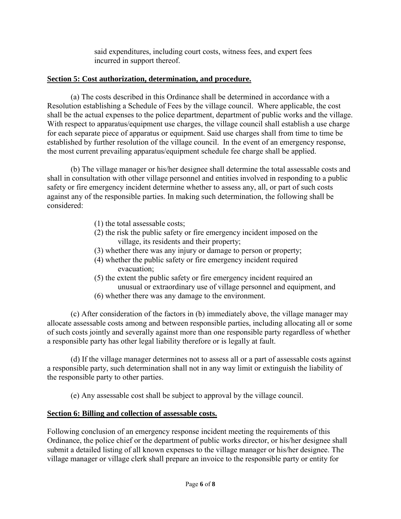said expenditures, including court costs, witness fees, and expert fees incurred in support thereof.

### **Section 5: Cost authorization, determination, and procedure.**

 (a) The costs described in this Ordinance shall be determined in accordance with a Resolution establishing a Schedule of Fees by the village council. Where applicable, the cost shall be the actual expenses to the police department, department of public works and the village. With respect to apparatus/equipment use charges, the village council shall establish a use charge for each separate piece of apparatus or equipment. Said use charges shall from time to time be established by further resolution of the village council. In the event of an emergency response, the most current prevailing apparatus/equipment schedule fee charge shall be applied.

 (b) The village manager or his/her designee shall determine the total assessable costs and shall in consultation with other village personnel and entities involved in responding to a public safety or fire emergency incident determine whether to assess any, all, or part of such costs against any of the responsible parties. In making such determination, the following shall be considered:

- (1) the total assessable costs;
- (2) the risk the public safety or fire emergency incident imposed on the village, its residents and their property;
- (3) whether there was any injury or damage to person or property;
- (4) whether the public safety or fire emergency incident required evacuation;
- (5) the extent the public safety or fire emergency incident required an unusual or extraordinary use of village personnel and equipment, and
- (6) whether there was any damage to the environment.

 (c) After consideration of the factors in (b) immediately above, the village manager may allocate assessable costs among and between responsible parties, including allocating all or some of such costs jointly and severally against more than one responsible party regardless of whether a responsible party has other legal liability therefore or is legally at fault.

 (d) If the village manager determines not to assess all or a part of assessable costs against a responsible party, such determination shall not in any way limit or extinguish the liability of the responsible party to other parties.

(e) Any assessable cost shall be subject to approval by the village council.

# **Section 6: Billing and collection of assessable costs.**

Following conclusion of an emergency response incident meeting the requirements of this Ordinance, the police chief or the department of public works director, or his/her designee shall submit a detailed listing of all known expenses to the village manager or his/her designee. The village manager or village clerk shall prepare an invoice to the responsible party or entity for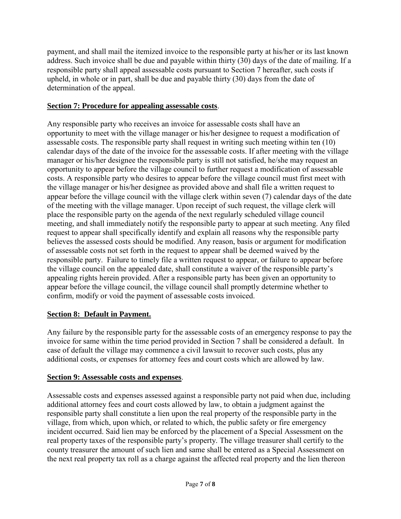payment, and shall mail the itemized invoice to the responsible party at his/her or its last known address. Such invoice shall be due and payable within thirty (30) days of the date of mailing. If a responsible party shall appeal assessable costs pursuant to Section 7 hereafter, such costs if upheld, in whole or in part, shall be due and payable thirty (30) days from the date of determination of the appeal.

## **Section 7: Procedure for appealing assessable costs**.

Any responsible party who receives an invoice for assessable costs shall have an opportunity to meet with the village manager or his/her designee to request a modification of assessable costs. The responsible party shall request in writing such meeting within ten (10) calendar days of the date of the invoice for the assessable costs. If after meeting with the village manager or his/her designee the responsible party is still not satisfied, he/she may request an opportunity to appear before the village council to further request a modification of assessable costs. A responsible party who desires to appear before the village council must first meet with the village manager or his/her designee as provided above and shall file a written request to appear before the village council with the village clerk within seven (7) calendar days of the date of the meeting with the village manager. Upon receipt of such request, the village clerk will place the responsible party on the agenda of the next regularly scheduled village council meeting, and shall immediately notify the responsible party to appear at such meeting. Any filed request to appear shall specifically identify and explain all reasons why the responsible party believes the assessed costs should be modified. Any reason, basis or argument for modification of assessable costs not set forth in the request to appear shall be deemed waived by the responsible party. Failure to timely file a written request to appear, or failure to appear before the village council on the appealed date, shall constitute a waiver of the responsible party's appealing rights herein provided. After a responsible party has been given an opportunity to appear before the village council, the village council shall promptly determine whether to confirm, modify or void the payment of assessable costs invoiced.

# **Section 8: Default in Payment.**

Any failure by the responsible party for the assessable costs of an emergency response to pay the invoice for same within the time period provided in Section 7 shall be considered a default. In case of default the village may commence a civil lawsuit to recover such costs, plus any additional costs, or expenses for attorney fees and court costs which are allowed by law.

### **Section 9: Assessable costs and expenses**.

Assessable costs and expenses assessed against a responsible party not paid when due, including additional attorney fees and court costs allowed by law, to obtain a judgment against the responsible party shall constitute a lien upon the real property of the responsible party in the village, from which, upon which, or related to which, the public safety or fire emergency incident occurred. Said lien may be enforced by the placement of a Special Assessment on the real property taxes of the responsible party's property. The village treasurer shall certify to the county treasurer the amount of such lien and same shall be entered as a Special Assessment on the next real property tax roll as a charge against the affected real property and the lien thereon